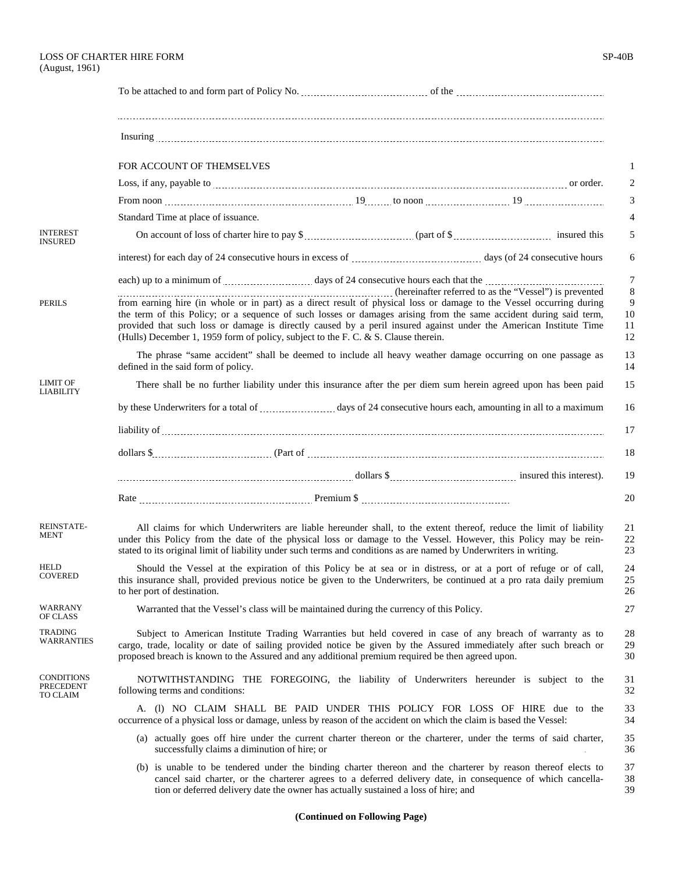| FOR ACCOUNT OF THEMSELVES | or order. |
|---------------------------|-----------|

|                                            | FOR ACCOUNT OF THEMSELVES                                                                                                                                                                                                                                                                                                                                                                                                                            |  |  |
|--------------------------------------------|------------------------------------------------------------------------------------------------------------------------------------------------------------------------------------------------------------------------------------------------------------------------------------------------------------------------------------------------------------------------------------------------------------------------------------------------------|--|--|
|                                            |                                                                                                                                                                                                                                                                                                                                                                                                                                                      |  |  |
|                                            | From noon $\ldots$ $\ldots$ $\ldots$ $\ldots$ $\ldots$ $\ldots$ $\ldots$ $\ldots$ $\ldots$ $\ldots$ $\ldots$ to noon $\ldots$ $\ldots$ $\ldots$ $\ldots$ $\ldots$ $\ldots$                                                                                                                                                                                                                                                                           |  |  |
|                                            | Standard Time at place of issuance.                                                                                                                                                                                                                                                                                                                                                                                                                  |  |  |
| <b>INTEREST</b><br><b>INSURED</b>          |                                                                                                                                                                                                                                                                                                                                                                                                                                                      |  |  |
|                                            |                                                                                                                                                                                                                                                                                                                                                                                                                                                      |  |  |
|                                            | each) up to a minimum of <i>contained as a days of 24 consecutive hours each that the contained as minimum of</i>                                                                                                                                                                                                                                                                                                                                    |  |  |
| <b>PERILS</b>                              | from earning hire (in whole or in part) as a direct result of physical loss or damage to the Vessel occurring during<br>the term of this Policy; or a sequence of such losses or damages arising from the same accident during said term,<br>provided that such loss or damage is directly caused by a peril insured against under the American Institute Time<br>(Hulls) December 1, 1959 form of policy, subject to the F. C. & S. Clause therein. |  |  |
|                                            | The phrase "same accident" shall be deemed to include all heavy weather damage occurring on one passage as<br>defined in the said form of policy.                                                                                                                                                                                                                                                                                                    |  |  |
| <b>LIMIT OF</b><br><b>LIABILITY</b>        | There shall be no further liability under this insurance after the per diem sum herein agreed upon has been paid                                                                                                                                                                                                                                                                                                                                     |  |  |
|                                            |                                                                                                                                                                                                                                                                                                                                                                                                                                                      |  |  |
|                                            |                                                                                                                                                                                                                                                                                                                                                                                                                                                      |  |  |
|                                            |                                                                                                                                                                                                                                                                                                                                                                                                                                                      |  |  |
|                                            |                                                                                                                                                                                                                                                                                                                                                                                                                                                      |  |  |
|                                            |                                                                                                                                                                                                                                                                                                                                                                                                                                                      |  |  |
| <b>REINSTATE-</b><br><b>MENT</b>           | All claims for which Underwriters are liable hereunder shall, to the extent thereof, reduce the limit of liability<br>under this Policy from the date of the physical loss or damage to the Vessel. However, this Policy may be rein-<br>stated to its original limit of liability under such terms and conditions as are named by Underwriters in writing.                                                                                          |  |  |
| <b>HELD</b><br><b>COVERED</b>              | Should the Vessel at the expiration of this Policy be at sea or in distress, or at a port of refuge or of call,<br>this insurance shall, provided previous notice be given to the Underwriters, be continued at a pro rata daily premium<br>to her port of destination.                                                                                                                                                                              |  |  |
| WARRANY<br>OF CLASS                        | Warranted that the Vessel's class will be maintained during the currency of this Policy.                                                                                                                                                                                                                                                                                                                                                             |  |  |
| <b>TRADING</b><br>WARRANTIES               | Subject to American Institute Trading Warranties but held covered in case of any breach of warranty as to<br>cargo, trade, locality or date of sailing provided notice be given by the Assured immediately after such breach or<br>proposed breach is known to the Assured and any additional premium required be then agreed upon.                                                                                                                  |  |  |
| <b>CONDITIONS</b><br>PRECEDENT<br>TO CLAIM | NOTWITHSTANDING THE FOREGOING, the liability of Underwriters hereunder is subject to the<br>following terms and conditions:                                                                                                                                                                                                                                                                                                                          |  |  |
|                                            | A. (1) NO CLAIM SHALL BE PAID UNDER THIS POLICY FOR LOSS OF HIRE due to the<br>occurrence of a physical loss or damage, unless by reason of the accident on which the claim is based the Vessel:                                                                                                                                                                                                                                                     |  |  |
|                                            | (a) actually goes off hire under the current charter thereon or the charterer, under the terms of said charter,<br>successfully claims a diminution of hire; or                                                                                                                                                                                                                                                                                      |  |  |
|                                            | (b) is unable to be tendered under the binding charter thereon and the charterer by reason thereof elects to<br>cancel said charter, or the charterer agrees to a deferred delivery date, in consequence of which cancella-<br>tion or deferred delivery date the owner has actually sustained a loss of hire; and                                                                                                                                   |  |  |

## **(Continued on Following Page)**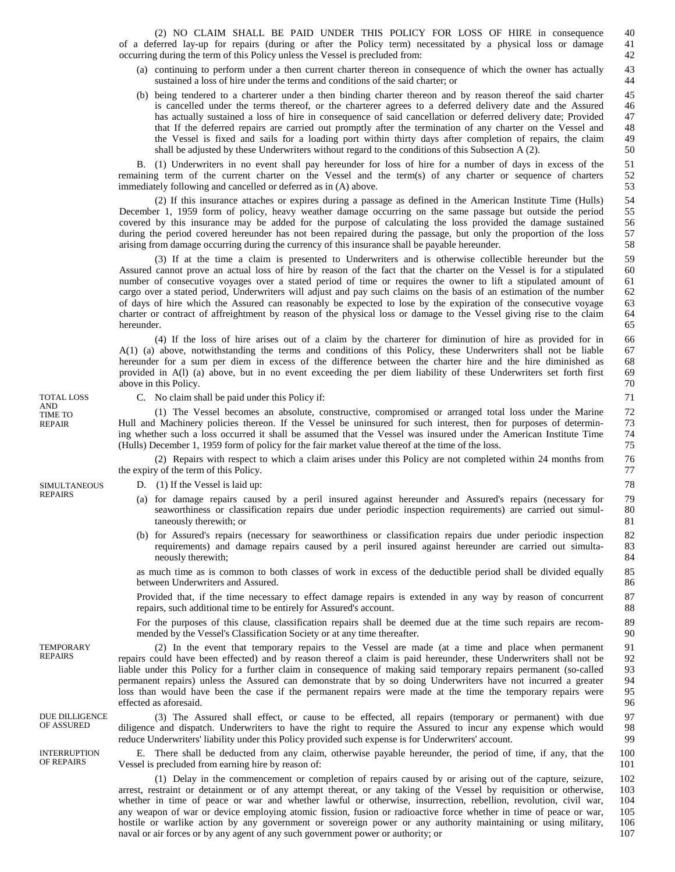(2) NO CLAIM SHALL BE PAID UNDER THIS POLICY FOR LOSS OF HIRE in consequence of a deferred lay-up for repairs (during or after the Policy term) necessitated by a physical loss or damage occurring during the term of this Policy unless the Vessel is precluded from:

(a) continuing to perform under a then current charter thereon in consequence of which the owner has actually sustained a loss of hire under the terms and conditions of the said charter; or

97 98 99

100 101

(b) being tendered to a charterer under a then binding charter thereon and by reason thereof the said charter is cancelled under the terms thereof, or the charterer agrees to a deferred delivery date and the Assured has actually sustained a loss of hire in consequence of said cancellation or deferred delivery date; Provided that If the deferred repairs are carried out promptly after the termination of any charter on the Vessel and the Vessel is fixed and sails for a loading port within thirty days after completion of repairs, the claim shall be adjusted by these Underwriters without regard to the conditions of this Subsection A (2).

B. (1) Underwriters in no event shall pay hereunder for loss of hire for a number of days in excess of the remaining term of the current charter on the Vessel and the term(s) of any charter or sequence of charters immediately following and cancelled or deferred as in (A) above.

 (2) If this insurance attaches or expires during a passage as defined in the American Institute Time (Hulls) December 1, 1959 form of policy, heavy weather damage occurring on the same passage but outside the period covered by this insurance may be added for the purpose of calculating the loss provided the damage sustained during the period covered hereunder has not been repaired during the passage, but only the proportion of the loss arising from damage occurring during the currency of this insurance shall be payable hereunder.

 (3) If at the time a claim is presented to Underwriters and is otherwise collectible hereunder but the Assured cannot prove an actual loss of hire by reason of the fact that the charter on the Vessel is for a stipulated number of consecutive voyages over a stated period of time or requires the owner to lift a stipulated amount of cargo over a stated period, Underwriters will adjust and pay such claims on the basis of an estimation of the number of days of hire which the Assured can reasonably be expected to lose by the expiration of the consecutive voyage charter or contract of affreightment by reason of the physical loss or damage to the Vessel giving rise to the claim hereunder.

 (4) If the loss of hire arises out of a claim by the charterer for diminution of hire as provided for in A(1) (a) above, notwithstanding the terms and conditions of this Policy, these Underwriters shall not be liable hereunder for a sum per diem in excess of the difference between the charter hire and the hire diminished as provided in A(l) (a) above, but in no event exceeding the per diem liability of these Underwriters set forth first above in this Policy.

C. No claim shall be paid under this Policy if:

(1) The Vessel becomes an absolute, constructive, compromised or arranged total loss under the Marine Hull and Machinery policies thereon. If the Vessel be uninsured for such interest, then for purposes of determining whether such a loss occurred it shall be assumed that the Vessel was insured under the American Institute Time (Hulls) December 1, 1959 form of policy for the fair market value thereof at the time of the loss.

(2) Repairs with respect to which a claim arises under this Policy are not completed within 24 months from the expiry of the term of this Policy.

## D. (1) If the Vessel is laid up:

- (a) for damage repairs caused by a peril insured against hereunder and Assured's repairs (necessary for seaworthiness or classification repairs due under periodic inspection requirements) are carried out simultaneously therewith; or
- (b) for Assured's repairs (necessary for seaworthiness or classification repairs due under periodic inspection requirements) and damage repairs caused by a peril insured against hereunder are carried out simultaneously therewith;

as much time as is common to both classes of work in excess of the deductible period shall be divided equally between Underwriters and Assured.

Provided that, if the time necessary to effect damage repairs is extended in any way by reason of concurrent repairs, such additional time to be entirely for Assured's account.

For the purposes of this clause, classification repairs shall be deemed due at the time such repairs are recommended by the Vessel's Classification Society or at any time thereafter.

(2) In the event that temporary repairs to the Vessel are made (at a time and place when permanent repairs could have been effected) and by reason thereof a claim is paid hereunder, these Underwriters shall not be liable under this Policy for a further claim in consequence of making said temporary repairs permanent (so-called permanent repairs) unless the Assured can demonstrate that by so doing Underwriters have not incurred a greater loss than would have been the case if the permanent repairs were made at the time the temporary repairs were effected as aforesaid.

(3) The Assured shall effect, or cause to be effected, all repairs (temporary or permanent) with due diligence and dispatch. Underwriters to have the right to require the Assured to incur any expense which would reduce Underwriters' liability under this Policy provided such expense is for Underwriters' account.

E. There shall be deducted from any claim, otherwise payable hereunder, the period of time, if any, that the Vessel is precluded from earning hire by reason of:

(1) Delay in the commencement or completion of repairs caused by or arising out of the capture, seizure, arrest, restraint or detainment or of any attempt thereat, or any taking of the Vessel by requisition or otherwise, whether in time of peace or war and whether lawful or otherwise, insurrection, rebellion, revolution, civil war, any weapon of war or device employing atomic fission, fusion or radioactive force whether in time of peace or war, hostile or warlike action by any government or sovereign power or any authority maintaining or using military, naval or air forces or by any agent of any such government power or authority; or 102 103 104 105 106 107

TOTAL LOSS AND TIME TO REPAIR

SIMULTANEOUS REPAIRS

**TEMPORARY** REPAIRS

DUE DILLIGENCE OF ASSURED

INTERRUPTION OF REPAIRS